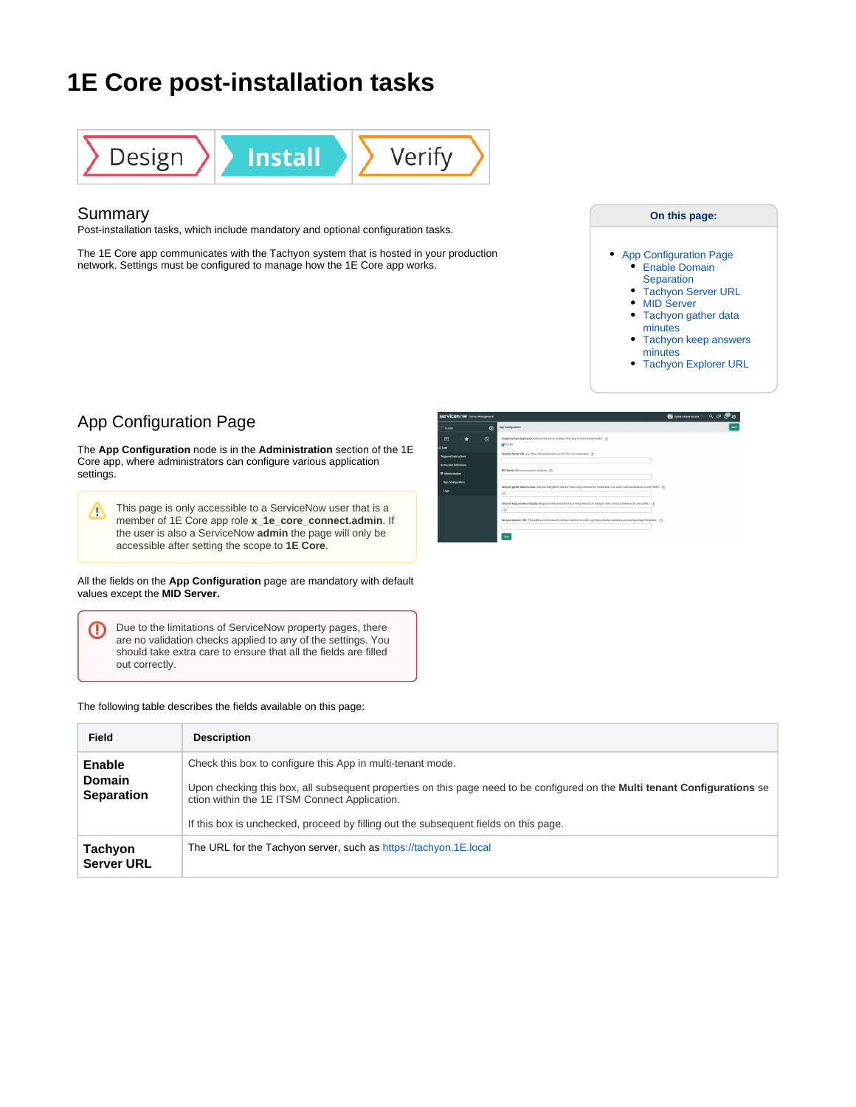# **1E Core post-installation tasks**



### Summary

Post-installation tasks, which include mandatory and optional configuration tasks.

The 1E Core app communicates with the Tachyon system that is hosted in your production network. Settings must be configured to manage how the 1E Core app works.

### **On this page:**

- [App Configuration Page](#page-0-0) **Enable Domain [Separation](#page-0-1)** 
	- [Tachyon Server URL](#page-0-2)
	- [MID Server](#page-1-0)
	- Tachyon gather data
	- [minutes](#page-1-1) [Tachyon keep answers](#page-1-2)
	- [minutes](#page-1-2) • [Tachyon Explorer URL](#page-1-3)

## <span id="page-0-0"></span>App Configuration Page

The **App Configuration** node is in the **Administration** section of the 1E Core app, where administrators can configure various application settings.

This page is only accessible to a ServiceNow user that is a Δ member of 1E Core app role **x\_1e\_core\_connect.admin**. If the user is also a ServiceNow **admin** the page will only be accessible after setting the scope to **1E Core**.

### All the fields on the **App Configuration** page are mandatory with default values except the **MID Server.**

Due to the limitations of ServiceNow property pages, there ⊕ are no validation checks applied to any of the settings. You should take extra care to ensure that all the fields are filled out correctly.

### The following table describes the fields available on this page:

| Servicenow Service Management  |            | ● System Administrator · Q □ (伊命                                                                                                           |      |
|--------------------------------|------------|--------------------------------------------------------------------------------------------------------------------------------------------|------|
| <b>Le cove</b>                 | $^{\circ}$ | App Configuration                                                                                                                          | Saw: |
| ÷<br>画<br><b>LE Gore</b>       | $\circ$    | Enable Domain Separation? (Check this box to configure this App in multi-tenant mode) (f)<br>gales   No                                    |      |
| Triggered Instructions         |            | Tachyan Server URL (e.g. https://tachyon.domain.com, HTTPS is recommended) (T):                                                            |      |
| <b>Instruction Delivitions</b> |            |                                                                                                                                            |      |
| V Administration               |            | MD Server MD server name for Tachyoni (9)                                                                                                  |      |
| App Configuration              |            | Tachyan gather data minutes (Tachyon will gather data for these many minutes for instruction. The value must be between 18 and 18080.) (7) |      |
| tep                            |            | œ                                                                                                                                          |      |
|                                |            | Technon keep answers releates (Response will persist for these many releates in Tachnon, Value must be between 10 and 10000.) (9).<br>120  |      |
|                                |            | Tachyan Explorer URL (This will be used to launch Tachyan Explorer in a tab. e.g. https://tachyon.domain.com/tachyon/App/K/explorer) (9)   |      |
|                                |            | Since                                                                                                                                      |      |

<span id="page-0-2"></span><span id="page-0-1"></span>

| Field                                               | <b>Description</b>                                                                                                                                                                                                                                                                                                                       |
|-----------------------------------------------------|------------------------------------------------------------------------------------------------------------------------------------------------------------------------------------------------------------------------------------------------------------------------------------------------------------------------------------------|
| <b>Enable</b><br><b>Domain</b><br><b>Separation</b> | Check this box to configure this App in multi-tenant mode.<br>Upon checking this box, all subsequent properties on this page need to be configured on the <b>Multi tenant Configurations</b> se<br>ction within the 1E ITSM Connect Application.<br>If this box is unchecked, proceed by filling out the subsequent fields on this page. |
| <b>Tachyon</b><br><b>Server URL</b>                 | The URL for the Tachyon server, such as https://tachyon.1E.local                                                                                                                                                                                                                                                                         |